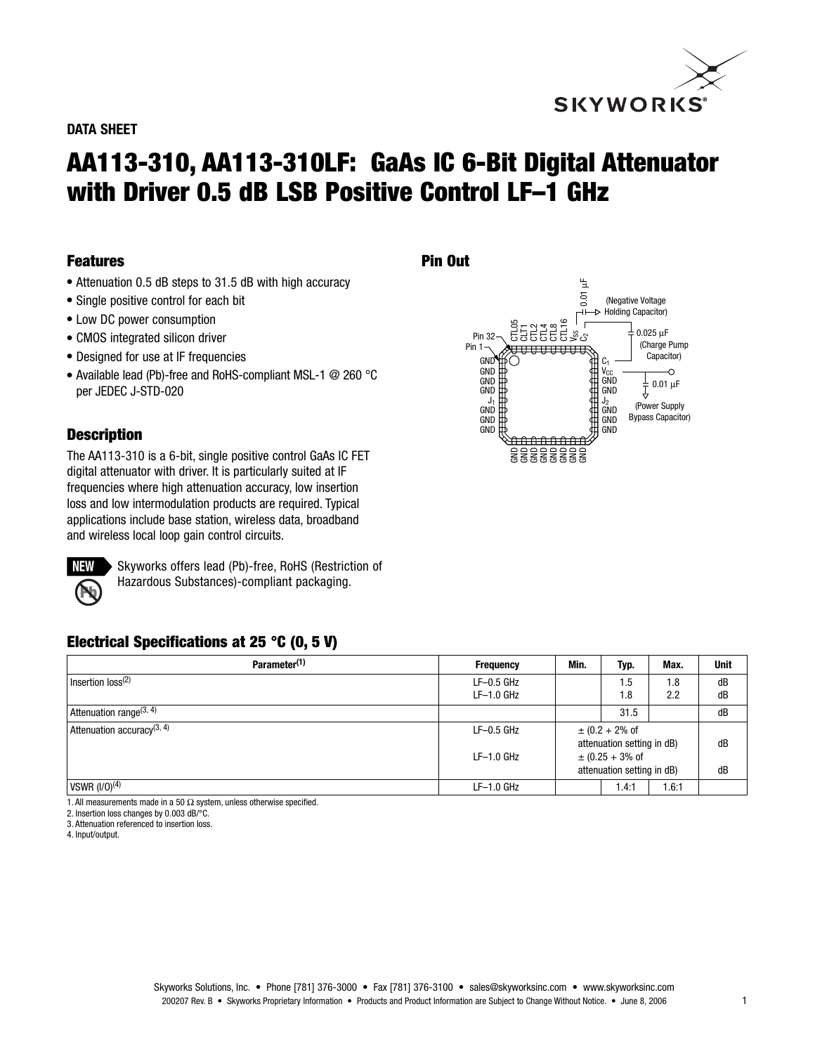

#### **DATA SHEET**

# **AA113-310, AA113-310LF: GaAs IC 6-Bit Digital Attenuator with Driver 0.5 dB LSB Positive Control LF–1 GHz**

**Pin Out**

#### **Features**

- Attenuation 0.5 dB steps to 31.5 dB with high accuracy
- Single positive control for each bit
- Low DC power consumption
- CMOS integrated silicon driver
- Designed for use at IF frequencies
- Available lead (Pb)-free and RoHS-compliant MSL-1 @ 260 °C per JEDEC J-STD-020

#### **Description**

The AA113-310 is a 6-bit, single positive control GaAs IC FET digital attenuator with driver. It is particularly suited at IF frequencies where high attenuation accuracy, low insertion loss and low intermodulation products are required. Typical applications include base station, wireless data, broadband and wireless local loop gain control circuits.



Skyworks offers lead (Pb)-free, RoHS (Restriction of Hazardous Substances)-compliant packaging.

## **Electrical Specifications at 25 °C (0, 5 V)**

| Parameter <sup>(1)</sup>               | <b>Frequency</b> | Min.                         | Typ. | Max.  | <b>Unit</b> |
|----------------------------------------|------------------|------------------------------|------|-------|-------------|
| $ $ Insertion loss ${}^{(2)}$          | $LF-0.5$ GHz     |                              | 1.5  | 1.8   | dB          |
|                                        | $LF-1.0$ GHz     |                              | 1.8  | 2.2   | dB          |
| Attenuation range <sup>(3, 4)</sup>    |                  |                              | 31.5 |       | dB          |
| Attenuation accuracy <sup>(3, 4)</sup> | $LF-0.5$ GHz     | $\pm (0.2 + 2\% \text{ of }$ |      |       |             |
|                                        |                  | attenuation setting in dB)   |      | dB    |             |
|                                        | $LF-1.0$ GHz     | $\pm$ (0.25 + 3% of          |      |       |             |
|                                        |                  | attenuation setting in dB)   |      |       | dB          |
| $\sqrt{(1/0)^{(4)}}$                   | $LF-1.0$ GHz     |                              | 4:1، | 1.6:1 |             |

1. All measurements made in a 50 Ω system, unless otherwise specified.

2. Insertion loss changes by 0.003 dB/°C.

3. Attenuation referenced to insertion loss.

4. Input/output.

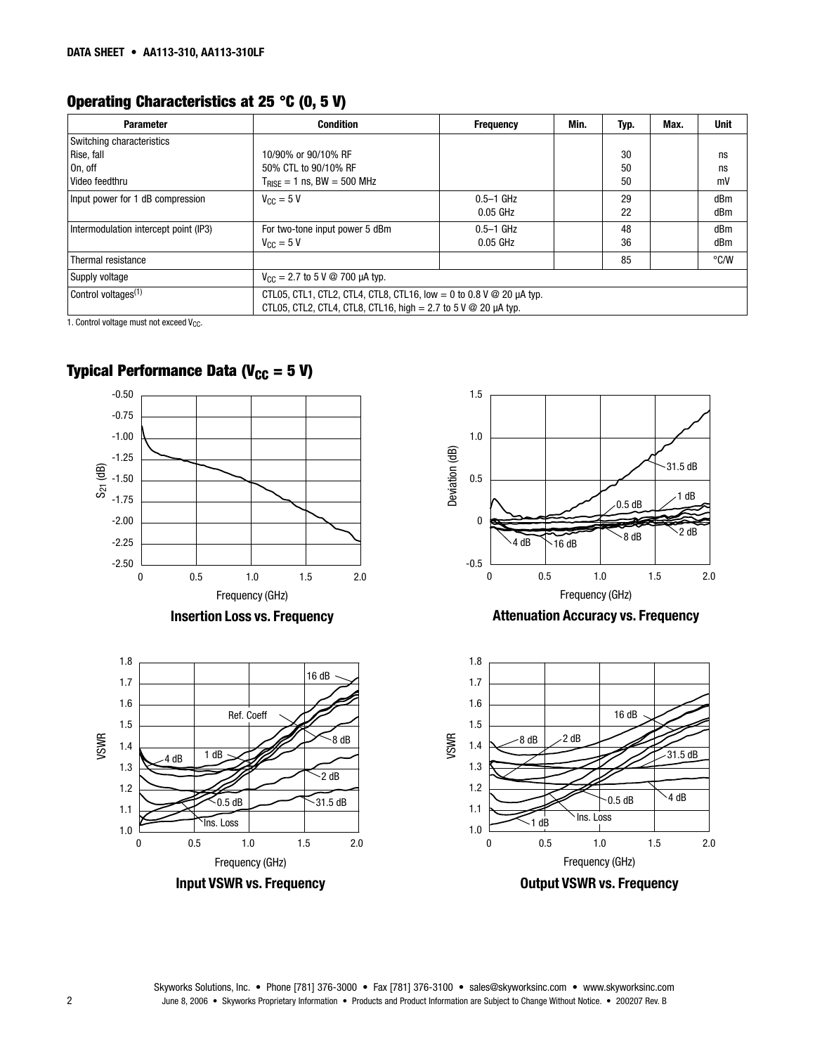# **Operating Characteristics at 25 °C (0, 5 V)**

| <b>Parameter</b>                      | <b>Condition</b>                                                                                                                                         | <b>Frequency</b> | Min. | Typ. | Max. | <b>Unit</b> |
|---------------------------------------|----------------------------------------------------------------------------------------------------------------------------------------------------------|------------------|------|------|------|-------------|
| Switching characteristics             |                                                                                                                                                          |                  |      |      |      |             |
| Rise, fall                            | 10/90% or 90/10% RF                                                                                                                                      |                  |      | 30   |      | ns          |
| On. off                               | 50% CTL to 90/10% RF                                                                                                                                     |                  |      | 50   |      | ns          |
| Video feedthru                        | $T_{BISE} = 1$ ns, BW = 500 MHz                                                                                                                          |                  |      | 50   |      | mV          |
| Input power for 1 dB compression      | $V_{\text{CC}} = 5 V$                                                                                                                                    | $0.5-1$ GHz      |      | 29   |      | dBm         |
|                                       |                                                                                                                                                          | $0.05$ GHz       |      | 22   |      | dBm         |
| Intermodulation intercept point (IP3) | For two-tone input power 5 dBm                                                                                                                           | $0.5-1$ GHz      |      | 48   |      | dBm         |
|                                       | $V_{\text{C}C} = 5 V$                                                                                                                                    | $0.05$ GHz       |      | 36   |      | dBm         |
| Thermal resistance                    |                                                                                                                                                          |                  |      | 85   |      | °C/W        |
| Supply voltage                        | $V_{\text{CC}} = 2.7$ to 5 V @ 700 µA typ.                                                                                                               |                  |      |      |      |             |
| Control voltages <sup>(1)</sup>       | CTL05, CTL1, CTL2, CTL4, CTL8, CTL16, low = 0 to 0.8 V $\textcircled{20}$ µA typ.<br>CTL05, CTL2, CTL4, CTL8, CTL16, high = 2.7 to 5 V @ 20 $\mu$ A typ. |                  |      |      |      |             |

1.5

1. Control voltage must not exceed  $V_{CC}$ .

# **Typical Performance Data (** $V_{CC} = 5 V$ **)**



Frequency (GHz) **Input VSWR vs. Frequency**

 $\overline{\text{Ins}}$ . Loss  $\sim$  0.5 dB

0.5 1.0 1.5 2.0

 $-31.5$  dB



**Attenuation Accuracy vs. Frequency**



0

1.0 1.1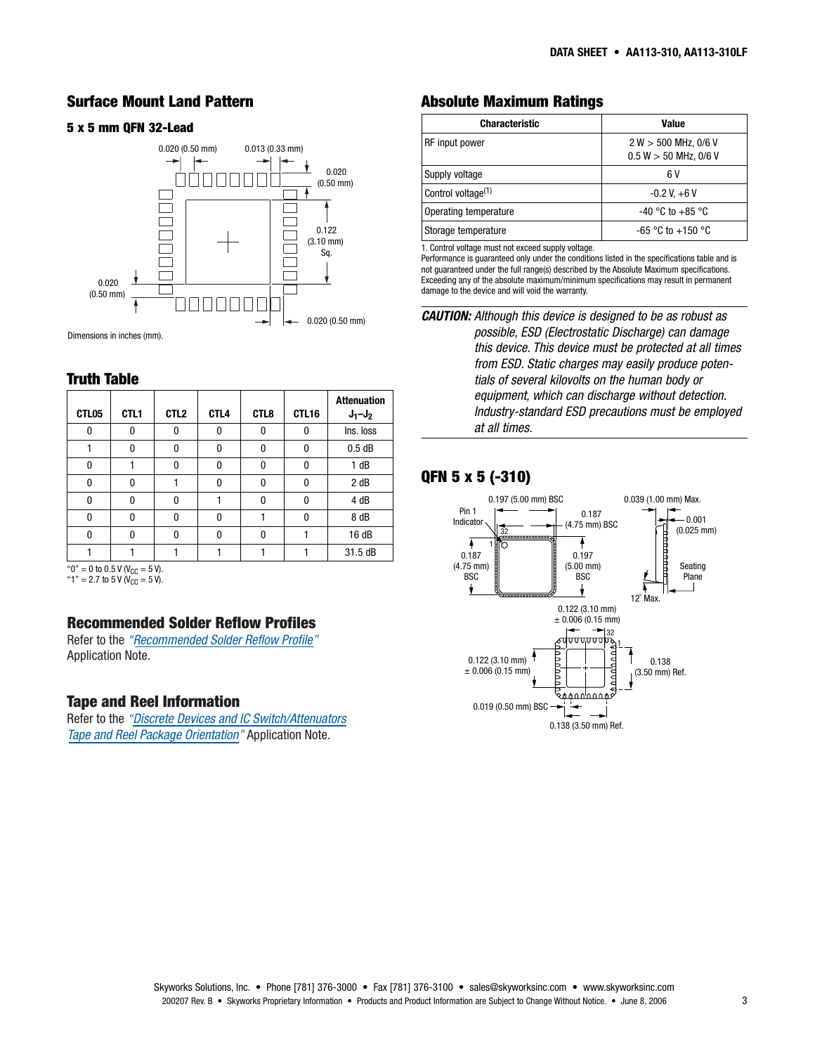#### **Surface Mount Land Pattern**

#### **5 x 5 mm QFN 32-Lead Characteristic Value**



Dimensions in inches (mm).

#### **Truth Table**

| CTL05                                   | CTL <sub>1</sub> | CTL <sub>2</sub> | CTL <sub>4</sub> | CTL8 | CTL16 | <b>Attenuation</b><br>$J_1 - J_2$ |
|-----------------------------------------|------------------|------------------|------------------|------|-------|-----------------------------------|
| 0                                       | 0                | 0                | 0                | 0    | 0     | Ins. loss                         |
|                                         | $\Omega$         | 0                | O                | 0    | 0     | 0.5dB                             |
| $\mathbf{0}$                            |                  | 0                | 0                | 0    | 0     | 1 dB                              |
| 0                                       | 0                |                  | 0                | 0    | 0     | 2 dB                              |
| $\Omega$                                | $\Omega$         | 0                |                  | 0    | 0     | 4 dB                              |
| 0                                       | U                | 0                | O                |      | 0     | 8 dB                              |
| $\Omega$                                | 0                | 0                | O                | 0    |       | 16 dB                             |
|                                         |                  |                  |                  |      |       | 31.5 dB                           |
| " $0$ " = 0 to 0.5 V ( $V_{CC}$ = 5 V). |                  |                  |                  |      |       |                                   |

"1" = 2.7 to 5 V ( $V_{CC} = 5$  V).

## **Recommended Solder Reflow Profiles**

Refer to the *["Recommended Solder Reflow Profile"](http://www.skyworksinc.com/products_display_item.asp?did=2071 )* Application Note.

#### **Tape and Reel Information**

Refer to the *["Discrete Devices and IC Switch/Attenuators](http://www.skyworksinc.com/products_display_item.asp?did=2122 )  Tape and Reel Package Orientation"* Application Note.

## **Absolute Maximum Ratings**

| Characteristic                 | Value                                                 |
|--------------------------------|-------------------------------------------------------|
| RF input power                 | $2 W > 500 MHz$ , 0/6 V<br>$0.5 W > 50 MHz$ , $0/6 V$ |
| Supply voltage                 | 6 V                                                   |
| Control voltage <sup>(1)</sup> | $-0.2$ V, $+6$ V                                      |
| Operating temperature          | $-40$ °C to $+85$ °C                                  |
| Storage temperature            | $-65$ °C to $+150$ °C                                 |

1. Control voltage must not exceed supply voltage.

Performance is guaranteed only under the conditions listed in the specifications table and is not guaranteed under the full range(s) described by the Absolute Maximum specifications. Exceeding any of the absolute maximum/minimum specifications may result in permanent damage to the device and will void the warranty.

# **QFN 5 x 5 (-310)**



**CAUTION:** Although this device is designed to be as robust as possible, ESD (Electrostatic Discharge) can damage this device. This device must be protected at all times from ESD. Static charges may easily produce potentials of several kilovolts on the human body or equipment, which can discharge without detection. Industry-standard ESD precautions must be employed at all times.